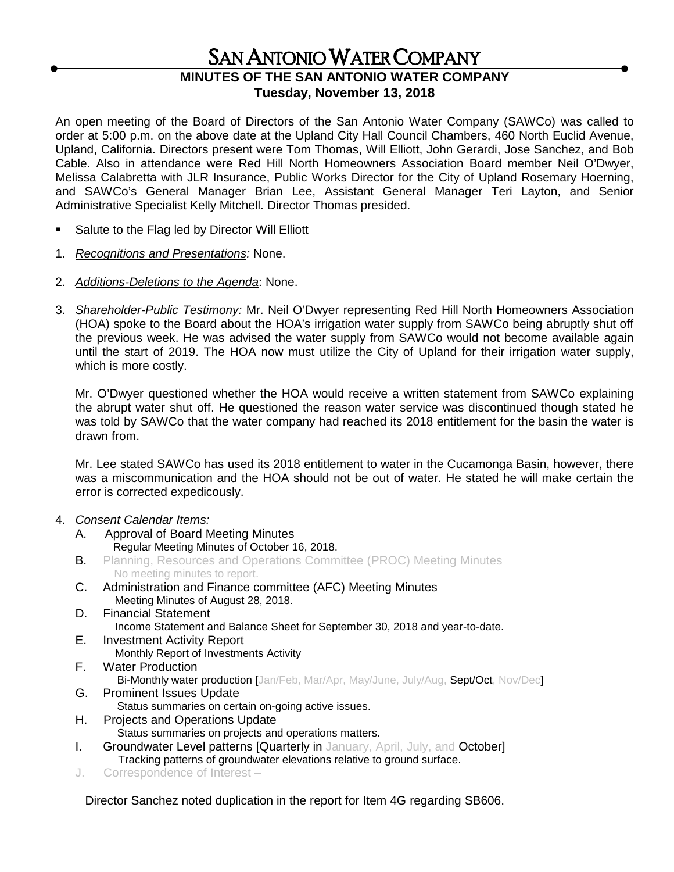# SAN ANTONIO WATER COMPANY

## **MINUTES OF THE SAN ANTONIO WATER COMPANY Tuesday, November 13, 2018**

An open meeting of the Board of Directors of the San Antonio Water Company (SAWCo) was called to order at 5:00 p.m. on the above date at the Upland City Hall Council Chambers, 460 North Euclid Avenue, Upland, California. Directors present were Tom Thomas, Will Elliott, John Gerardi, Jose Sanchez, and Bob Cable. Also in attendance were Red Hill North Homeowners Association Board member Neil O'Dwyer, Melissa Calabretta with JLR Insurance, Public Works Director for the City of Upland Rosemary Hoerning, and SAWCo's General Manager Brian Lee, Assistant General Manager Teri Layton, and Senior Administrative Specialist Kelly Mitchell. Director Thomas presided.

- Salute to the Flag led by Director Will Elliott
- 1. *Recognitions and Presentations:* None.
- 2. *Additions-Deletions to the Agenda*: None.
- 3. *Shareholder-Public Testimony:* Mr. Neil O'Dwyer representing Red Hill North Homeowners Association (HOA) spoke to the Board about the HOA's irrigation water supply from SAWCo being abruptly shut off the previous week. He was advised the water supply from SAWCo would not become available again until the start of 2019. The HOA now must utilize the City of Upland for their irrigation water supply, which is more costly.

Mr. O'Dwyer questioned whether the HOA would receive a written statement from SAWCo explaining the abrupt water shut off. He questioned the reason water service was discontinued though stated he was told by SAWCo that the water company had reached its 2018 entitlement for the basin the water is drawn from.

Mr. Lee stated SAWCo has used its 2018 entitlement to water in the Cucamonga Basin, however, there was a miscommunication and the HOA should not be out of water. He stated he will make certain the error is corrected expedicously.

#### 4. *Consent Calendar Items:*

- A. Approval of Board Meeting Minutes Regular Meeting Minutes of October 16, 2018.
- **B.** Planning, Resources and Operations Committee (PROC) Meeting Minutes No meeting minutes to report.
- C. Administration and Finance committee (AFC) Meeting Minutes Meeting Minutes of August 28, 2018.
- D. Financial Statement Income Statement and Balance Sheet for September 30, 2018 and year-to-date.
- E. Investment Activity Report Monthly Report of Investments Activity
- F. Water Production Bi-Monthly water production [Jan/Feb, Mar/Apr, May/June, July/Aug, Sept/Oct, Nov/Dec]
- G. Prominent Issues Update
- Status summaries on certain on-going active issues. H. Projects and Operations Update
	- Status summaries on projects and operations matters.
- **I.** Groundwater Level patterns **[Quarterly in January, April, July, and October]** Tracking patterns of groundwater elevations relative to ground surface.
- J. Correspondence of Interest –

Director Sanchez noted duplication in the report for Item 4G regarding SB606.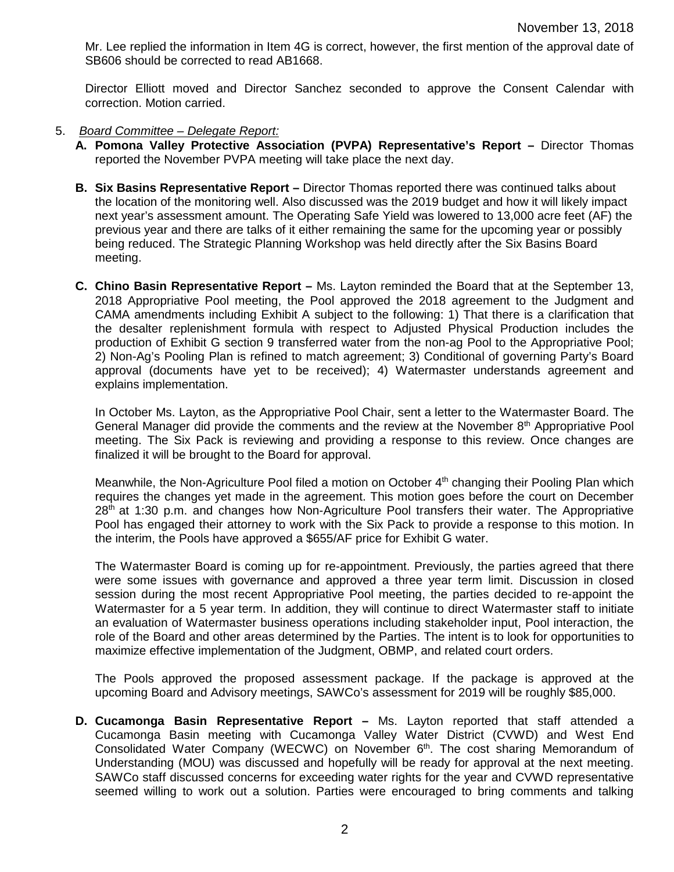Mr. Lee replied the information in Item 4G is correct, however, the first mention of the approval date of SB606 should be corrected to read AB1668.

Director Elliott moved and Director Sanchez seconded to approve the Consent Calendar with correction. Motion carried.

- 5. *Board Committee – Delegate Report:*
	- **A. Pomona Valley Protective Association (PVPA) Representative's Report –** Director Thomas reported the November PVPA meeting will take place the next day.
	- **B. Six Basins Representative Report –** Director Thomas reported there was continued talks about the location of the monitoring well. Also discussed was the 2019 budget and how it will likely impact next year's assessment amount. The Operating Safe Yield was lowered to 13,000 acre feet (AF) the previous year and there are talks of it either remaining the same for the upcoming year or possibly being reduced. The Strategic Planning Workshop was held directly after the Six Basins Board meeting.
	- **C. Chino Basin Representative Report –** Ms. Layton reminded the Board that at the September 13, 2018 Appropriative Pool meeting, the Pool approved the 2018 agreement to the Judgment and CAMA amendments including Exhibit A subject to the following: 1) That there is a clarification that the desalter replenishment formula with respect to Adjusted Physical Production includes the production of Exhibit G section 9 transferred water from the non-ag Pool to the Appropriative Pool; 2) Non-Ag's Pooling Plan is refined to match agreement; 3) Conditional of governing Party's Board approval (documents have yet to be received); 4) Watermaster understands agreement and explains implementation.

In October Ms. Layton, as the Appropriative Pool Chair, sent a letter to the Watermaster Board. The General Manager did provide the comments and the review at the November 8th Appropriative Pool meeting. The Six Pack is reviewing and providing a response to this review. Once changes are finalized it will be brought to the Board for approval.

Meanwhile, the Non-Agriculture Pool filed a motion on October 4<sup>th</sup> changing their Pooling Plan which requires the changes yet made in the agreement. This motion goes before the court on December  $28<sup>th</sup>$  at 1:30 p.m. and changes how Non-Agriculture Pool transfers their water. The Appropriative Pool has engaged their attorney to work with the Six Pack to provide a response to this motion. In the interim, the Pools have approved a \$655/AF price for Exhibit G water.

The Watermaster Board is coming up for re-appointment. Previously, the parties agreed that there were some issues with governance and approved a three year term limit. Discussion in closed session during the most recent Appropriative Pool meeting, the parties decided to re-appoint the Watermaster for a 5 year term. In addition, they will continue to direct Watermaster staff to initiate an evaluation of Watermaster business operations including stakeholder input, Pool interaction, the role of the Board and other areas determined by the Parties. The intent is to look for opportunities to maximize effective implementation of the Judgment, OBMP, and related court orders.

The Pools approved the proposed assessment package. If the package is approved at the upcoming Board and Advisory meetings, SAWCo's assessment for 2019 will be roughly \$85,000.

**D. Cucamonga Basin Representative Report –** Ms. Layton reported that staff attended a Cucamonga Basin meeting with Cucamonga Valley Water District (CVWD) and West End Consolidated Water Company (WECWC) on November 6<sup>th</sup>. The cost sharing Memorandum of Understanding (MOU) was discussed and hopefully will be ready for approval at the next meeting. SAWCo staff discussed concerns for exceeding water rights for the year and CVWD representative seemed willing to work out a solution. Parties were encouraged to bring comments and talking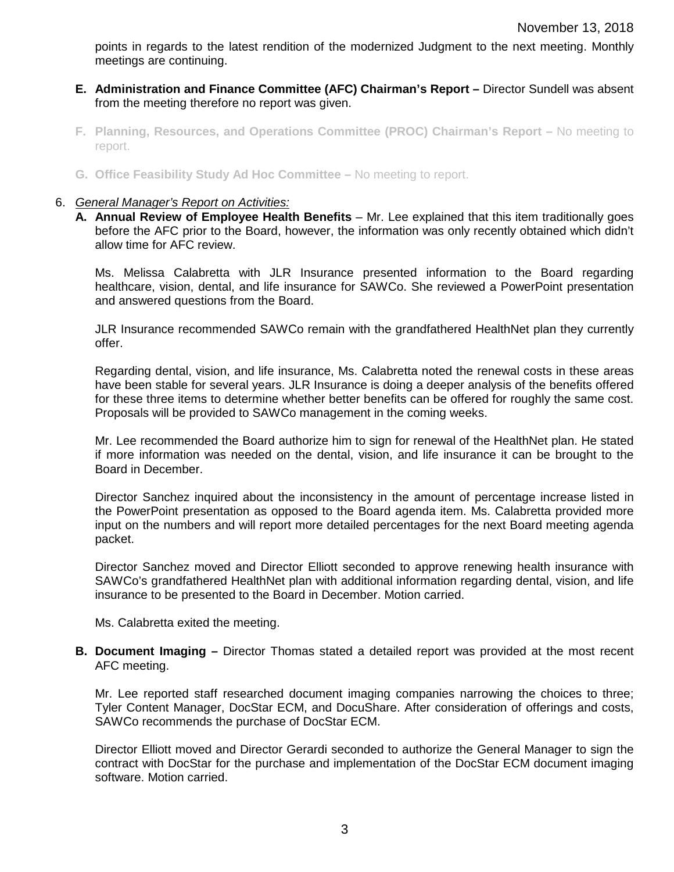points in regards to the latest rendition of the modernized Judgment to the next meeting. Monthly meetings are continuing.

- **E. Administration and Finance Committee (AFC) Chairman's Report –** Director Sundell was absent from the meeting therefore no report was given.
- **F. Planning, Resources, and Operations Committee (PROC) Chairman's Report –** No meeting to report.
- **G. Office Feasibility Study Ad Hoc Committee –** No meeting to report.

#### 6. *General Manager's Report on Activities:*

**A. Annual Review of Employee Health Benefits** – Mr. Lee explained that this item traditionally goes before the AFC prior to the Board, however, the information was only recently obtained which didn't allow time for AFC review.

Ms. Melissa Calabretta with JLR Insurance presented information to the Board regarding healthcare, vision, dental, and life insurance for SAWCo. She reviewed a PowerPoint presentation and answered questions from the Board.

JLR Insurance recommended SAWCo remain with the grandfathered HealthNet plan they currently offer.

Regarding dental, vision, and life insurance, Ms. Calabretta noted the renewal costs in these areas have been stable for several years. JLR Insurance is doing a deeper analysis of the benefits offered for these three items to determine whether better benefits can be offered for roughly the same cost. Proposals will be provided to SAWCo management in the coming weeks.

Mr. Lee recommended the Board authorize him to sign for renewal of the HealthNet plan. He stated if more information was needed on the dental, vision, and life insurance it can be brought to the Board in December.

Director Sanchez inquired about the inconsistency in the amount of percentage increase listed in the PowerPoint presentation as opposed to the Board agenda item. Ms. Calabretta provided more input on the numbers and will report more detailed percentages for the next Board meeting agenda packet.

Director Sanchez moved and Director Elliott seconded to approve renewing health insurance with SAWCo's grandfathered HealthNet plan with additional information regarding dental, vision, and life insurance to be presented to the Board in December. Motion carried.

Ms. Calabretta exited the meeting.

**B. Document Imaging –** Director Thomas stated a detailed report was provided at the most recent AFC meeting.

Mr. Lee reported staff researched document imaging companies narrowing the choices to three; Tyler Content Manager, DocStar ECM, and DocuShare. After consideration of offerings and costs, SAWCo recommends the purchase of DocStar ECM.

Director Elliott moved and Director Gerardi seconded to authorize the General Manager to sign the contract with DocStar for the purchase and implementation of the DocStar ECM document imaging software. Motion carried.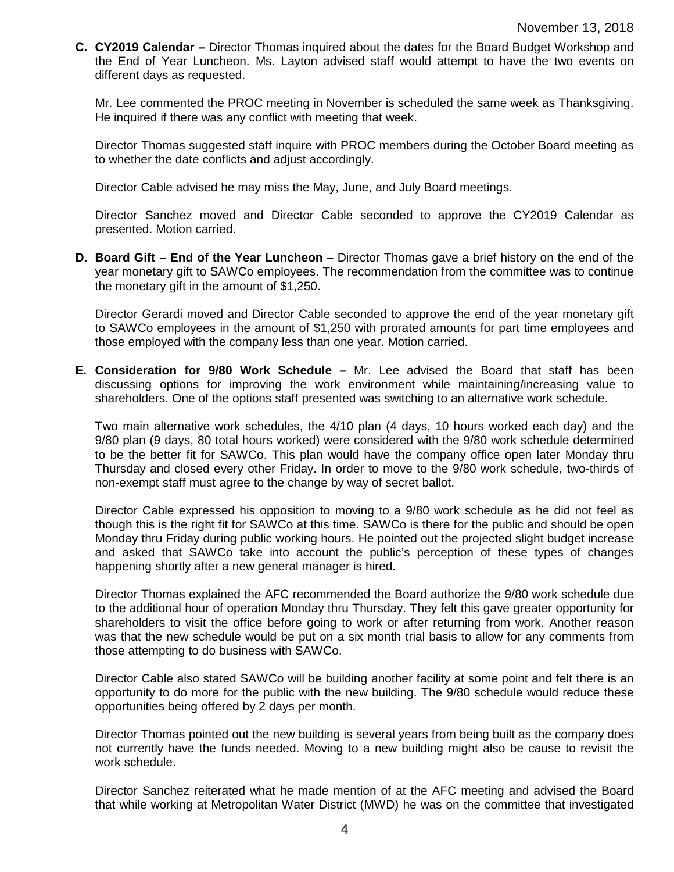**C. CY2019 Calendar –** Director Thomas inquired about the dates for the Board Budget Workshop and the End of Year Luncheon. Ms. Layton advised staff would attempt to have the two events on different days as requested.

Mr. Lee commented the PROC meeting in November is scheduled the same week as Thanksgiving. He inquired if there was any conflict with meeting that week.

Director Thomas suggested staff inquire with PROC members during the October Board meeting as to whether the date conflicts and adjust accordingly.

Director Cable advised he may miss the May, June, and July Board meetings.

Director Sanchez moved and Director Cable seconded to approve the CY2019 Calendar as presented. Motion carried.

**D. Board Gift – End of the Year Luncheon –** Director Thomas gave a brief history on the end of the year monetary gift to SAWCo employees. The recommendation from the committee was to continue the monetary gift in the amount of \$1,250.

Director Gerardi moved and Director Cable seconded to approve the end of the year monetary gift to SAWCo employees in the amount of \$1,250 with prorated amounts for part time employees and those employed with the company less than one year. Motion carried.

**E. Consideration for 9/80 Work Schedule –** Mr. Lee advised the Board that staff has been discussing options for improving the work environment while maintaining/increasing value to shareholders. One of the options staff presented was switching to an alternative work schedule.

Two main alternative work schedules, the 4/10 plan (4 days, 10 hours worked each day) and the 9/80 plan (9 days, 80 total hours worked) were considered with the 9/80 work schedule determined to be the better fit for SAWCo. This plan would have the company office open later Monday thru Thursday and closed every other Friday. In order to move to the 9/80 work schedule, two-thirds of non-exempt staff must agree to the change by way of secret ballot.

Director Cable expressed his opposition to moving to a 9/80 work schedule as he did not feel as though this is the right fit for SAWCo at this time. SAWCo is there for the public and should be open Monday thru Friday during public working hours. He pointed out the projected slight budget increase and asked that SAWCo take into account the public's perception of these types of changes happening shortly after a new general manager is hired.

Director Thomas explained the AFC recommended the Board authorize the 9/80 work schedule due to the additional hour of operation Monday thru Thursday. They felt this gave greater opportunity for shareholders to visit the office before going to work or after returning from work. Another reason was that the new schedule would be put on a six month trial basis to allow for any comments from those attempting to do business with SAWCo.

Director Cable also stated SAWCo will be building another facility at some point and felt there is an opportunity to do more for the public with the new building. The 9/80 schedule would reduce these opportunities being offered by 2 days per month.

Director Thomas pointed out the new building is several years from being built as the company does not currently have the funds needed. Moving to a new building might also be cause to revisit the work schedule.

Director Sanchez reiterated what he made mention of at the AFC meeting and advised the Board that while working at Metropolitan Water District (MWD) he was on the committee that investigated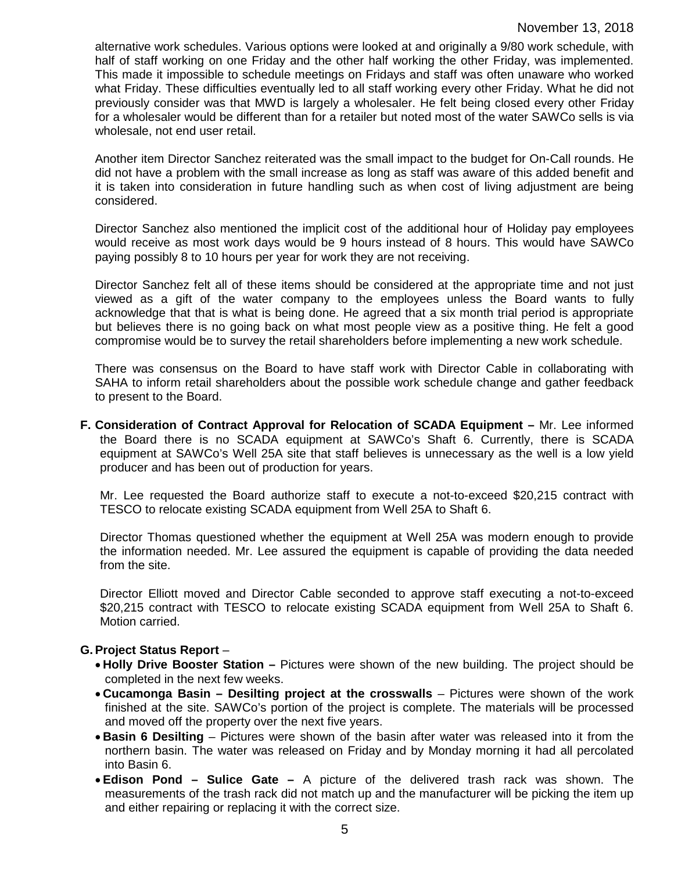alternative work schedules. Various options were looked at and originally a 9/80 work schedule, with half of staff working on one Friday and the other half working the other Friday, was implemented. This made it impossible to schedule meetings on Fridays and staff was often unaware who worked what Friday. These difficulties eventually led to all staff working every other Friday. What he did not previously consider was that MWD is largely a wholesaler. He felt being closed every other Friday for a wholesaler would be different than for a retailer but noted most of the water SAWCo sells is via wholesale, not end user retail.

Another item Director Sanchez reiterated was the small impact to the budget for On-Call rounds. He did not have a problem with the small increase as long as staff was aware of this added benefit and it is taken into consideration in future handling such as when cost of living adjustment are being considered.

Director Sanchez also mentioned the implicit cost of the additional hour of Holiday pay employees would receive as most work days would be 9 hours instead of 8 hours. This would have SAWCo paying possibly 8 to 10 hours per year for work they are not receiving.

Director Sanchez felt all of these items should be considered at the appropriate time and not just viewed as a gift of the water company to the employees unless the Board wants to fully acknowledge that that is what is being done. He agreed that a six month trial period is appropriate but believes there is no going back on what most people view as a positive thing. He felt a good compromise would be to survey the retail shareholders before implementing a new work schedule.

There was consensus on the Board to have staff work with Director Cable in collaborating with SAHA to inform retail shareholders about the possible work schedule change and gather feedback to present to the Board.

**F. Consideration of Contract Approval for Relocation of SCADA Equipment –** Mr. Lee informed the Board there is no SCADA equipment at SAWCo's Shaft 6. Currently, there is SCADA equipment at SAWCo's Well 25A site that staff believes is unnecessary as the well is a low yield producer and has been out of production for years.

Mr. Lee requested the Board authorize staff to execute a not-to-exceed \$20,215 contract with TESCO to relocate existing SCADA equipment from Well 25A to Shaft 6.

Director Thomas questioned whether the equipment at Well 25A was modern enough to provide the information needed. Mr. Lee assured the equipment is capable of providing the data needed from the site.

Director Elliott moved and Director Cable seconded to approve staff executing a not-to-exceed \$20,215 contract with TESCO to relocate existing SCADA equipment from Well 25A to Shaft 6. Motion carried.

### **G.Project Status Report** –

- **Holly Drive Booster Station –** Pictures were shown of the new building. The project should be completed in the next few weeks.
- **Cucamonga Basin – Desilting project at the crosswalls** Pictures were shown of the work finished at the site. SAWCo's portion of the project is complete. The materials will be processed and moved off the property over the next five years.
- **Basin 6 Desilting**  Pictures were shown of the basin after water was released into it from the northern basin. The water was released on Friday and by Monday morning it had all percolated into Basin 6.
- **Edison Pond – Sulice Gate –** A picture of the delivered trash rack was shown. The measurements of the trash rack did not match up and the manufacturer will be picking the item up and either repairing or replacing it with the correct size.